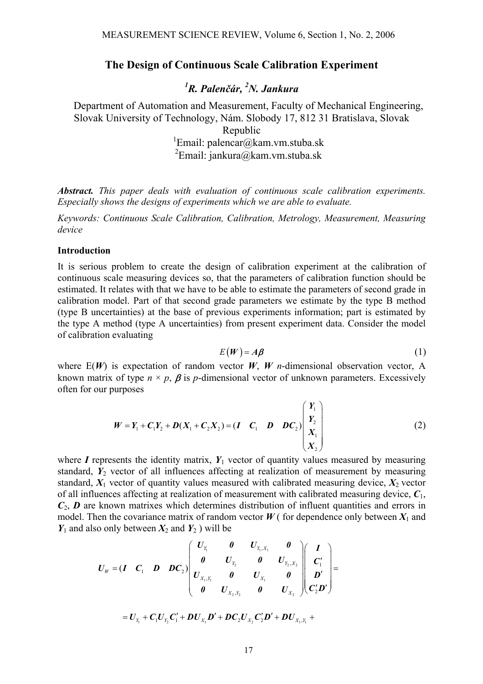## **The Design of Continuous Scale Calibration Experiment**

*1 R. Palenčár, 2 N. Jankura* 

Department of Automation and Measurement, Faculty of Mechanical Engineering, Slovak University of Technology, Nám. Slobody 17, 812 31 Bratislava, Slovak Republic <sup>1</sup>Email: palencar@kam.vm.stuba.sk  ${}^{2}$ Email: jankura@kam.vm.stuba.sk

*Abstract. This paper deals with evaluation of continuous scale calibration experiments. Especially shows the designs of experiments which we are able to evaluate.* 

*Keywords: Continuous Scale Calibration, Calibration, Metrology, Measurement, Measuring device* 

### **Introduction**

It is serious problem to create the design of calibration experiment at the calibration of continuous scale measuring devices so, that the parameters of calibration function should be estimated. It relates with that we have to be able to estimate the parameters of second grade in calibration model. Part of that second grade parameters we estimate by the type B method (type B uncertainties) at the base of previous experiments information; part is estimated by the type A method (type A uncertainties) from present experiment data. Consider the model of calibration evaluating

$$
E(W) = A\beta \tag{1}
$$

where  $E(W)$  is expectation of random vector *W*, *W n*-dimensional observation vector, A known matrix of type  $n \times p$ ,  $\beta$  is *p*-dimensional vector of unknown parameters. Excessively often for our purposes

$$
W = Y_1 + C_1 Y_2 + D(X_1 + C_2 X_2) = (I \quad C_1 \quad D \quad DC_2) \begin{pmatrix} Y_1 \\ Y_2 \\ X_1 \\ X_2 \end{pmatrix}
$$
 (2)

where  $I$  represents the identity matrix,  $Y_1$  vector of quantity values measured by measuring standard,  $Y_2$  vector of all influences affecting at realization of measurement by measuring standard,  $X_1$  vector of quantity values measured with calibrated measuring device,  $X_2$  vector of all influences affecting at realization of measurement with calibrated measuring device, *C*1, *C*2, *D* are known matrixes which determines distribution of influent quantities and errors in model. Then the covariance matrix of random vector  $W$  (for dependence only between  $X_1$  and  $Y_1$  and also only between  $X_2$  and  $Y_2$ ) will be

$$
U_{W} = (I \quad C_{1} \quad D \quad DC_{2}) \begin{pmatrix} U_{Y_{1}} & 0 & U_{Y_{1},X_{1}} & 0 \\ 0 & U_{Y_{2}} & 0 & U_{Y_{2},X_{2}} \\ U_{X_{1},Y_{1}} & 0 & U_{X_{1}} & 0 \\ 0 & U_{X_{2},Y_{2}} & 0 & U_{X_{2}} \end{pmatrix} \begin{pmatrix} I \\ C'_{1} \\ D' \\ C'_{2}D' \end{pmatrix} =
$$
  
=  $U_{Y_{1}} + C_{1}U_{Y_{2}}C'_{1} + DU_{X_{1}}D' + DC_{2}U_{X_{2}}C'_{2}D' + DU_{X_{1},Y_{1}} +$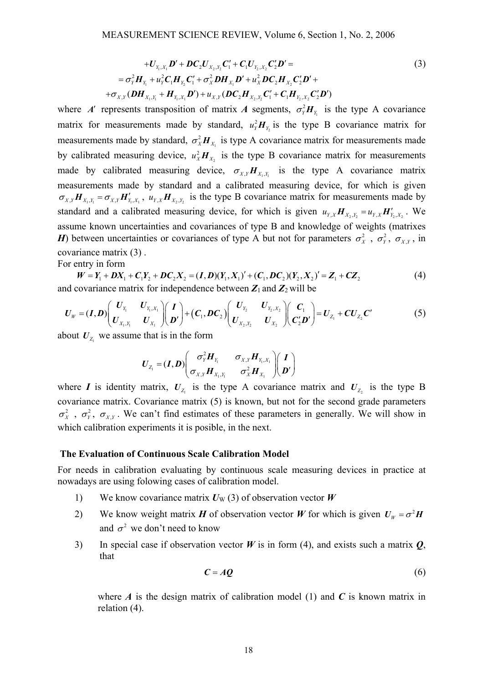$$
+U_{Y_1, X_1}\mathbf{D}' + \mathbf{D}C_2U_{X_2, Y_2}\mathbf{C}'_1 + \mathbf{C}_1U_{Y_2, X_2}\mathbf{C}'_2\mathbf{D}' =
$$
\n
$$
= \sigma_Y^2\mathbf{H}_{Y_1} + u_Y^2\mathbf{C}_1\mathbf{H}_{Y_2}\mathbf{C}'_1 + \sigma_X^2\mathbf{D}\mathbf{H}_{X_1}\mathbf{D}' + u_X^2\mathbf{D}\mathbf{C}_2\mathbf{H}_{X_2}\mathbf{C}'_2\mathbf{D}' +
$$
\n
$$
+ \sigma_{X,Y}(\mathbf{D}\mathbf{H}_{X_1, Y_1} + \mathbf{H}_{Y_1, X_1}\mathbf{D}') + u_{X,Y}(\mathbf{D}\mathbf{C}_2\mathbf{H}_{X_2, Y_2}\mathbf{C}'_1 + \mathbf{C}_1\mathbf{H}_{Y_2, X_2}\mathbf{C}'_2\mathbf{D}')
$$
\n(3)

where *A*<sup> $\prime$ </sup> represents transposition of matrix *A* segments,  $\sigma_Y^2 H_{Y_1}$  is the type A covariance matrix for measurements made by standard,  $u_Y^2 H_{Y_2}$  is the type B covariance matrix for measurements made by standard,  $\sigma_X^2 H_{X_1}$  is type A covariance matrix for measurements made by calibrated measuring device,  $u_x^2 H_{x_2}$  is the type B covariance matrix for measurements made by calibrated measuring device,  $\sigma_{X,Y} H_{X_1,Y_1}$  is the type A covariance matrix measurements made by standard and a calibrated measuring device, for which is given  $\sigma_{X,Y}$   $\mathbf{H}_{X_1,Y_1} = \sigma_{X,Y}$   $\mathbf{H}'_{Y_1,X_1}$ ,  $u_{Y,X}$   $\mathbf{H}_{X_2,Y_2}$  is the type B covariance matrix for measurements made by standard and a calibrated measuring device, for which is given  $u_{Y,X} H_{X_2,Y_2} = u_{Y,X} H'_{Y_2,X_2}$ . We assume known uncertainties and covariances of type B and knowledge of weights (matrixes *H*) between uncertainties or covariances of type A but not for parameters  $\sigma_X^2$ ,  $\sigma_Y^2$ ,  $\sigma_{XY}$ , in covariance matrix (3) .

For entry in form

 $W = Y_1 + DX_1 + C_1Y_2 + DC_2X_2 = (I, D)(Y_1, X_1)' + (C_1, DC_2)(Y_2, X_2)' = Z_1 + CZ_2$  (4) and covariance matrix for independence between  $Z_1$  and  $Z_2$  will be

$$
U_{W} = (I, D) \begin{pmatrix} U_{Y_{1}} & U_{Y_{1}, X_{1}} \\ U_{X_{1}, Y_{1}} & U_{X_{1}} \end{pmatrix} \begin{pmatrix} I \\ D' \end{pmatrix} + (C_{1}, DC_{2}) \begin{pmatrix} U_{Y_{2}} & U_{Y_{2}, X_{2}} \\ U_{X_{2}, Y_{2}} & U_{X_{2}} \end{pmatrix} \begin{pmatrix} C_{1} \\ C'_{2} D' \end{pmatrix} = U_{Z_{1}} + CU_{Z_{2}} C' \qquad (5)
$$

about  $U_{z_1}$  we assume that is in the form

$$
\boldsymbol{U}_{Z_1} = (\boldsymbol{I}, \boldsymbol{D}) \begin{pmatrix} \sigma_Y^2 \boldsymbol{H}_{Y_1} & \sigma_{X,Y} \boldsymbol{H}_{Y_1,X_1} \\ \sigma_{X,Y} \boldsymbol{H}_{X_1,Y_1} & \sigma_X^2 \boldsymbol{H}_{X_1} \end{pmatrix} \begin{pmatrix} \boldsymbol{I} \\ \boldsymbol{D}' \end{pmatrix}
$$

where *I* is identity matrix,  $U_z$  is the type A covariance matrix and  $U_z$  is the type B covariance matrix. Covariance matrix (5) is known, but not for the second grade parameters  $\sigma_X^2$ ,  $\sigma_Y^2$ ,  $\sigma_{XY}$ . We can't find estimates of these parameters in generally. We will show in which calibration experiments it is posible, in the next.

#### **The Evaluation of Continuous Scale Calibration Model**

For needs in calibration evaluating by continuous scale measuring devices in practice at nowadays are using folowing cases of calibration model.

- 1) We know covariance matrix  $U_W$  (3) of observation vector  $W$
- 2) We know weight matrix *H* of observation vector *W* for which is given  $U_w = \sigma^2 H$ and  $\sigma^2$  we don't need to know
- 3) In special case if observation vector *W* is in form (4), and exists such a matrix *Q*, that

$$
C = AQ \tag{6}
$$

where  $\vec{A}$  is the design matrix of calibration model (1) and  $\vec{C}$  is known matrix in relation (4).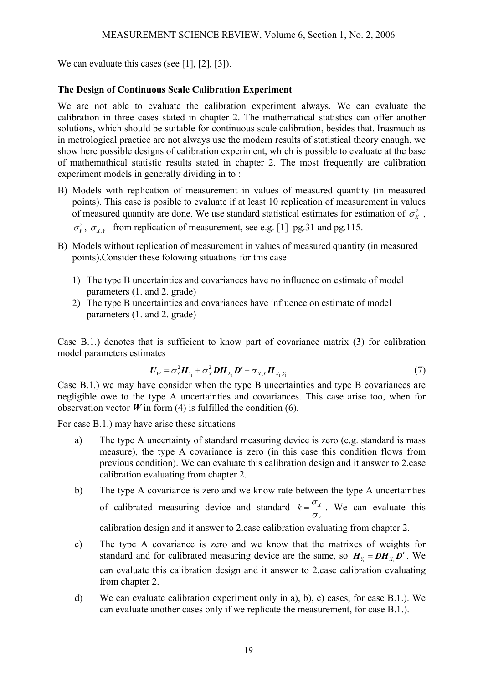We can evaluate this cases (see [1], [2], [3]).

# **The Design of Continuous Scale Calibration Experiment**

We are not able to evaluate the calibration experiment always. We can evaluate the calibration in three cases stated in chapter 2. The mathematical statistics can offer another solutions, which should be suitable for continuous scale calibration, besides that. Inasmuch as in metrological practice are not always use the modern results of statistical theory enaugh, we show here possible designs of calibration experiment, which is possible to evaluate at the base of mathemathical statistic results stated in chapter 2. The most frequently are calibration experiment models in generally dividing in to :

- B) Models with replication of measurement in values of measured quantity (in measured points). This case is posible to evaluate if at least 10 replication of measurement in values of measured quantity are done. We use standard statistical estimates for estimation of  $\sigma_X^2$ ,  $\sigma_Y^2$ ,  $\sigma_{XY}$  from replication of measurement, see e.g. [1] pg.31 and pg.115.
- B) Models without replication of measurement in values of measured quantity (in measured points).Consider these folowing situations for this case
	- 1) The type B uncertainties and covariances have no influence on estimate of model parameters (1. and 2. grade)
	- 2) The type B uncertainties and covariances have influence on estimate of model parameters (1. and 2. grade)

Case B.1.) denotes that is sufficient to know part of covariance matrix (3) for calibration model parameters estimates

$$
\boldsymbol{U}_W = \sigma_Y^2 \boldsymbol{H}_{Y_1} + \sigma_X^2 \boldsymbol{D} \boldsymbol{H}_{X_1} \boldsymbol{D}' + \sigma_{X,Y} \boldsymbol{H}_{X_1,Y_1}
$$
\n<sup>(7)</sup>

Case B.1.) we may have consider when the type B uncertainties and type B covariances are negligible owe to the type A uncertainties and covariances. This case arise too, when for observation vector  $W$  in form (4) is fulfilled the condition (6).

For case B.1.) may have arise these situations

- a) The type A uncertainty of standard measuring device is zero (e.g. standard is mass measure), the type A covariance is zero (in this case this condition flows from previous condition). We can evaluate this calibration design and it answer to 2.case calibration evaluating from chapter 2.
- b) The type A covariance is zero and we know rate between the type A uncertainties of calibrated measuring device and standard  $k = \frac{S_X}{S_X}$ *Y*  $k = \frac{\sigma_X}{\sigma_Y}$ . We can evaluate this

calibration design and it answer to 2.case calibration evaluating from chapter 2.

- c) The type A covariance is zero and we know that the matrixes of weights for standard and for calibrated measuring device are the same, so  $H<sub>X</sub> = DH<sub>X</sub> D'$ . We can evaluate this calibration design and it answer to 2.case calibration evaluating from chapter 2.
- d) We can evaluate calibration experiment only in a), b), c) cases, for case B.1.). We can evaluate another cases only if we replicate the measurement, for case B.1.).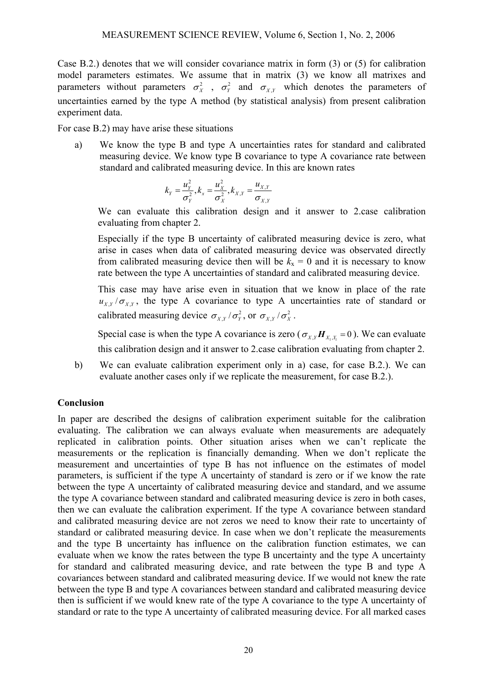Case B.2.) denotes that we will consider covariance matrix in form (3) or (5) for calibration model parameters estimates. We assume that in matrix (3) we know all matrixes and parameters without parameters  $\sigma_X^2$ ,  $\sigma_Y^2$  and  $\sigma_{XY}$  which denotes the parameters of uncertainties earned by the type A method (by statistical analysis) from present calibration experiment data.

For case B.2) may have arise these situations

a) We know the type B and type A uncertainties rates for standard and calibrated measuring device. We know type B covariance to type A covariance rate between standard and calibrated measuring device. In this are known rates

$$
k_{Y} = \frac{u_{Y}^{2}}{\sigma_{Y}^{2}}, k_{x} = \frac{u_{X}^{2}}{\sigma_{X}^{2}}, k_{X,Y} = \frac{u_{X,Y}}{\sigma_{X,Y}}
$$

We can evaluate this calibration design and it answer to 2.case calibration evaluating from chapter 2.

Especially if the type B uncertainty of calibrated measuring device is zero, what arise in cases when data of calibrated measuring device was observated directly from calibrated measuring device then will be  $k_x = 0$  and it is necessary to know rate between the type A uncertainties of standard and calibrated measuring device.

This case may have arise even in situation that we know in place of the rate  $u_{XY}/\sigma_{XY}$ , the type A covariance to type A uncertainties rate of standard or calibrated measuring device  $\sigma_{X,Y}/\sigma_Y^2$ , or  $\sigma_{X,Y}/\sigma_X^2$ .

Special case is when the type A covariance is zero ( $\sigma_{X,Y} H_{X,X} = 0$ ). We can evaluate this calibration design and it answer to 2.case calibration evaluating from chapter 2.

b) We can evaluate calibration experiment only in a) case, for case B.2.). We can evaluate another cases only if we replicate the measurement, for case B.2.).

## **Conclusion**

In paper are described the designs of calibration experiment suitable for the calibration evaluating. The calibration we can always evaluate when measurements are adequately replicated in calibration points. Other situation arises when we can't replicate the measurements or the replication is financially demanding. When we don't replicate the measurement and uncertainties of type B has not influence on the estimates of model parameters, is sufficient if the type A uncertainty of standard is zero or if we know the rate between the type A uncertainty of calibrated measuring device and standard, and we assume the type A covariance between standard and calibrated measuring device is zero in both cases, then we can evaluate the calibration experiment. If the type A covariance between standard and calibrated measuring device are not zeros we need to know their rate to uncertainty of standard or calibrated measuring device. In case when we don't replicate the measurements and the type B uncertainty has influence on the calibration function estimates, we can evaluate when we know the rates between the type B uncertainty and the type A uncertainty for standard and calibrated measuring device, and rate between the type B and type A covariances between standard and calibrated measuring device. If we would not knew the rate between the type B and type A covariances between standard and calibrated measuring device then is sufficient if we would knew rate of the type A covariance to the type A uncertainty of standard or rate to the type A uncertainty of calibrated measuring device. For all marked cases